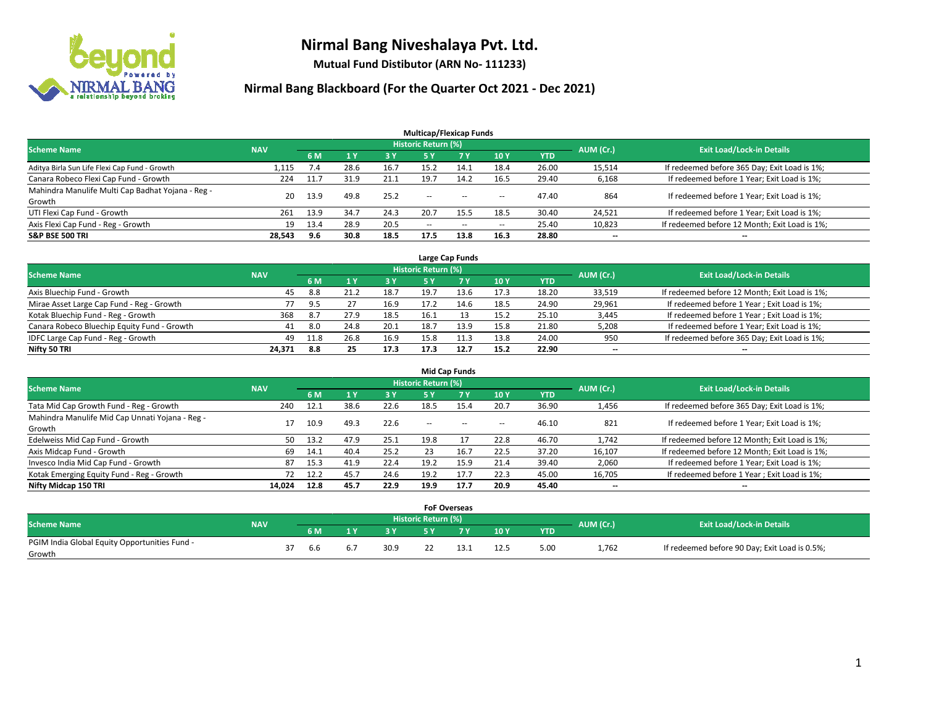

**Mutual Fund Distibutor (ARN No- 111233)**

|                                                   |            |      |      |      | <b>Multicap/Flexicap Funds</b> |           |                          |            |                          |                                               |
|---------------------------------------------------|------------|------|------|------|--------------------------------|-----------|--------------------------|------------|--------------------------|-----------------------------------------------|
| <b>Scheme Name</b>                                | <b>NAV</b> |      |      |      | Historic Return (%)            |           |                          |            | AUM (Cr.)                | <b>Exit Load/Lock-in Details</b>              |
|                                                   |            | 6 M  |      | 3 Y  | <b>5 Y</b>                     | <b>7Y</b> | <b>10Y</b>               | <b>YTD</b> |                          |                                               |
| Aditya Birla Sun Life Flexi Cap Fund - Growth     | 1,115      | 7.4  | 28.6 | 16.7 | 15.2                           | 14.1      | 18.4                     | 26.00      | 15,514                   | If redeemed before 365 Day; Exit Load is 1%;  |
| Canara Robeco Flexi Cap Fund - Growth             | 224        | 11.7 | 31.9 | 21.1 | 19.7                           | 14.2      | 16.5                     | 29.40      | 6,168                    | If redeemed before 1 Year; Exit Load is 1%;   |
| Mahindra Manulife Multi Cap Badhat Yojana - Reg - | 20         | 13.9 | 49.8 | 25.2 | --                             | $-$       | --                       | 47.40      | 864                      | If redeemed before 1 Year; Exit Load is 1%;   |
| Growth                                            |            |      |      |      |                                |           |                          |            |                          |                                               |
| UTI Flexi Cap Fund - Growth                       | 261        | 13.9 | 34.7 | 24.3 | 20.7                           | 15.5      | 18.5                     | 30.40      | 24,521                   | If redeemed before 1 Year; Exit Load is 1%;   |
| Axis Flexi Cap Fund - Reg - Growth                | 19         | 13.4 | 28.9 | 20.5 | $\overline{\phantom{m}}$       | $\sim$    | $\overline{\phantom{a}}$ | 25.40      | 10,823                   | If redeemed before 12 Month; Exit Load is 1%; |
| <b>S&amp;P BSE 500 TRI</b>                        | 28,543     | 9.6  | 30.8 | 18.5 | 17.5                           | 13.8      | 16.3                     | 28.80      | $\overline{\phantom{a}}$ | $\overline{\phantom{a}}$                      |

| Large Cap Funds                             |            |      |      |      |                            |      |      |            |           |                                               |  |  |  |
|---------------------------------------------|------------|------|------|------|----------------------------|------|------|------------|-----------|-----------------------------------------------|--|--|--|
| <b>Scheme Name</b>                          | <b>NAV</b> |      |      |      | <b>Historic Return (%)</b> |      |      |            | AUM (Cr.) | <b>Exit Load/Lock-in Details</b>              |  |  |  |
|                                             |            | 6 M  |      | 3 Y  |                            |      | 10Y  | <b>YTD</b> |           |                                               |  |  |  |
| Axis Bluechip Fund - Growth                 | 45         | 8.8  | 21.2 | 18.7 | 19.7                       | 13.6 | 17.3 | 18.20      | 33,519    | If redeemed before 12 Month; Exit Load is 1%; |  |  |  |
| Mirae Asset Large Cap Fund - Reg - Growth   | 77         | 9.5  |      | 16.9 | 17.2                       | 14.6 | 18.5 | 24.90      | 29,961    | If redeemed before 1 Year; Exit Load is 1%;   |  |  |  |
| Kotak Bluechip Fund - Reg - Growth          | 368        | 8.7  | 27.9 | 18.5 | 16.1                       |      | 15.2 | 25.10      | 3,445     | If redeemed before 1 Year; Exit Load is 1%;   |  |  |  |
| Canara Robeco Bluechip Equity Fund - Growth |            | 8.0  | 24.8 | 20.1 | 18.7                       |      | 15.8 | 21.80      | 5,208     | If redeemed before 1 Year; Exit Load is 1%;   |  |  |  |
| IDFC Large Cap Fund - Reg - Growth          | 49         | 11.8 | 26.8 | 16.9 | 15.8                       | 11.3 | 13.8 | 24.00      | 950       | If redeemed before 365 Day; Exit Load is 1%;  |  |  |  |
| Nifty 50 TRI                                | 24.371     | 8.8  | 25   | 17.3 | 17.3                       | 12.7 | 15.2 | 22.90      | $- -$     | $\overline{\phantom{a}}$                      |  |  |  |

| <b>Mid Cap Funds</b>                            |            |      |      |      |                     |           |        |            |           |                                               |  |  |  |
|-------------------------------------------------|------------|------|------|------|---------------------|-----------|--------|------------|-----------|-----------------------------------------------|--|--|--|
| <b>Scheme Name</b>                              | <b>NAV</b> |      |      |      | Historic Return (%) |           |        |            | AUM (Cr.) | <b>Exit Load/Lock-in Details</b>              |  |  |  |
|                                                 |            | 6 M  |      | 3 Y  | 5 Y                 | <b>7Y</b> | 10Y    | <b>YTD</b> |           |                                               |  |  |  |
| Tata Mid Cap Growth Fund - Reg - Growth         | 240        | 12.1 | 38.6 | 22.6 | 18.5                | 15.4      | 20.7   | 36.90      | 1,456     | If redeemed before 365 Day; Exit Load is 1%;  |  |  |  |
| Mahindra Manulife Mid Cap Unnati Yojana - Reg - |            | 10.9 | 49.3 | 22.6 | $\sim$ $\sim$       | $\sim$    | $\sim$ | 46.10      | 821       | If redeemed before 1 Year; Exit Load is 1%;   |  |  |  |
| Growth                                          |            |      |      |      |                     |           |        |            |           |                                               |  |  |  |
| Edelweiss Mid Cap Fund - Growth                 | 50         | 13.2 | 47.9 | 25.1 | 19.8                |           | 22.8   | 46.70      | 1,742     | If redeemed before 12 Month; Exit Load is 1%; |  |  |  |
| Axis Midcap Fund - Growth                       | 69         | 14.1 | 40.4 | 25.2 | 23                  | 16.7      | 22.5   | 37.20      | 16,107    | If redeemed before 12 Month; Exit Load is 1%; |  |  |  |
| Invesco India Mid Cap Fund - Growth             | 87         | 15.3 | 41.9 | 22.4 | 19.2                | 15.9      | 21.4   | 39.40      | 2,060     | If redeemed before 1 Year; Exit Load is 1%;   |  |  |  |
| Kotak Emerging Equity Fund - Reg - Growth       |            | 12.2 | 45.7 | 24.6 | 19.2                | 17.7      | 22.3   | 45.00      | 16,705    | If redeemed before 1 Year; Exit Load is 1%;   |  |  |  |
| Nifty Midcap 150 TRI                            | 14.024     | 12.8 | 45.7 | 22.9 | 19.9                | 17.7      | 20.9   | 45.40      | $- -$     | $\overline{\phantom{a}}$                      |  |  |  |

|                                               |            |     |    |      |                     | <b>FoF Overseas</b> |      |            |           |                                               |
|-----------------------------------------------|------------|-----|----|------|---------------------|---------------------|------|------------|-----------|-----------------------------------------------|
| <b>Scheme Name</b>                            | <b>NAV</b> |     |    |      | Historic Return (%) |                     |      |            |           | <b>Exit Load/Lock-in Details</b>              |
|                                               |            | 6 M | ıν | 2V   |                     | 7 V                 | 10Y  | <b>YTD</b> | AUM (Cr.) |                                               |
| PGIM India Global Equity Opportunities Fund - |            |     |    | 30.9 |                     |                     | 12.5 |            |           | If redeemed before 90 Day; Exit Load is 0.5%; |
| Growth                                        |            | 6.6 |    |      |                     |                     |      | 5.00       | 1,762     |                                               |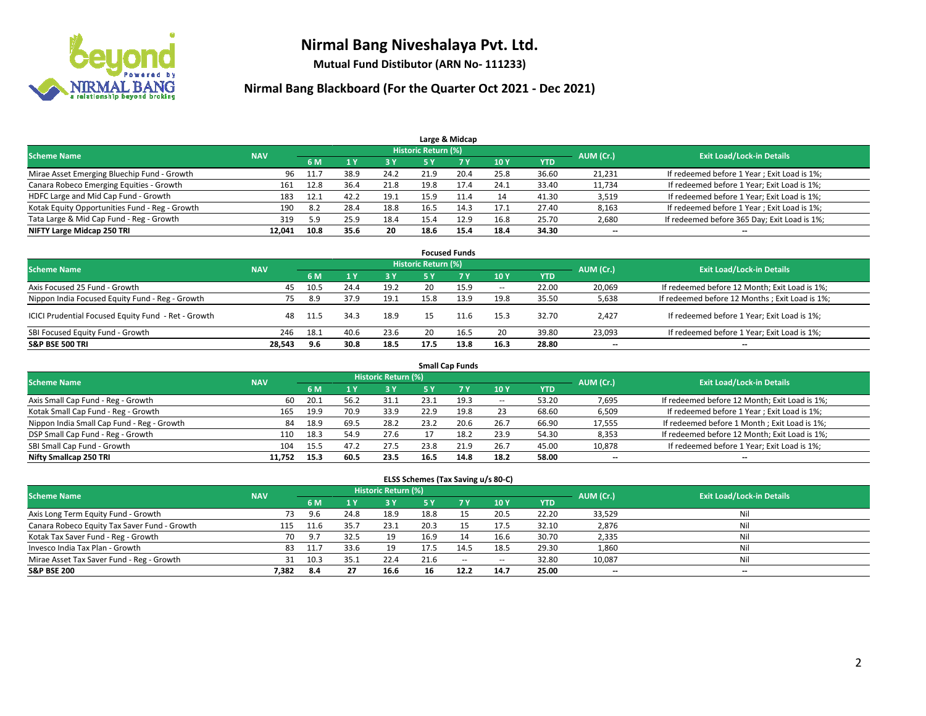

**Mutual Fund Distibutor (ARN No- 111233)**

| Large & Midcap                                 |            |      |      |      |                     |      |      |            |           |                                              |  |  |  |
|------------------------------------------------|------------|------|------|------|---------------------|------|------|------------|-----------|----------------------------------------------|--|--|--|
| <b>Scheme Name</b>                             | <b>NAV</b> |      |      |      | Historic Return (%) |      |      |            | AUM (Cr.) | <b>Exit Load/Lock-in Details</b>             |  |  |  |
|                                                |            | 6 M  |      | 3 Y  | 5 Y                 |      | 10Y  | <b>YTD</b> |           |                                              |  |  |  |
| Mirae Asset Emerging Bluechip Fund - Growth    | 96         | 11.7 | 38.9 | 24.2 | 21.9                | 20.4 | 25.8 | 36.60      | 21,231    | If redeemed before 1 Year; Exit Load is 1%;  |  |  |  |
| Canara Robeco Emerging Equities - Growth       | 161        | 12.8 | 36.4 | 21.8 | 19.8                | 17.4 | 24.1 | 33.40      | 11,734    | If redeemed before 1 Year; Exit Load is 1%;  |  |  |  |
| HDFC Large and Mid Cap Fund - Growth           | 183        | 12.1 | 42.2 | 19.1 | 15.9                |      | 14   | 41.30      | 3,519     | If redeemed before 1 Year; Exit Load is 1%;  |  |  |  |
| Kotak Equity Opportunities Fund - Reg - Growth | 190        | -8.2 | 28.4 | 18.8 | 16.5                | 14.3 | 17.1 | 27.40      | 8,163     | If redeemed before 1 Year; Exit Load is 1%;  |  |  |  |
| Tata Large & Mid Cap Fund - Reg - Growth       | 319        | 5.9  | 25.9 | 18.4 | 15.4                | 12.9 | 16.8 | 25.70      | 2,680     | If redeemed before 365 Day; Exit Load is 1%; |  |  |  |
| NIFTY Large Midcap 250 TRI                     | 12.041     | 10.8 | 35.6 | 20   | 18.6                | 15.4 | 18.4 | 34.30      | $- -$     | $- -$                                        |  |  |  |

| <b>Focused Funds</b>                                |            |      |      |      |                            |      |        |            |           |                                                 |  |  |  |
|-----------------------------------------------------|------------|------|------|------|----------------------------|------|--------|------------|-----------|-------------------------------------------------|--|--|--|
| <b>Scheme Name</b>                                  | <b>NAV</b> |      |      |      | <b>Historic Return (%)</b> |      |        |            | AUM (Cr.) | <b>Exit Load/Lock-in Details</b>                |  |  |  |
|                                                     |            | 6 M  |      | 3 Y  |                            | 7 Y  | 10Y    | <b>YTD</b> |           |                                                 |  |  |  |
| Axis Focused 25 Fund - Growth                       | 45         | 10.5 | 24.4 | 19.2 | 20                         | 15.9 | $\sim$ | 22.00      | 20,069    | If redeemed before 12 Month; Exit Load is 1%;   |  |  |  |
| Nippon India Focused Equity Fund - Reg - Growth     | 75         | 8.9  | 37.9 | 19.1 | 15.8                       | 13.9 | 19.8   | 35.50      | 5,638     | If redeemed before 12 Months ; Exit Load is 1%; |  |  |  |
| ICICI Prudential Focused Equity Fund - Ret - Growth | 48         | 11.5 | 34.3 | 18.9 |                            | 11.6 | 15.3   | 32.70      | 2,427     | If redeemed before 1 Year; Exit Load is 1%;     |  |  |  |
| SBI Focused Equity Fund - Growth                    | 246        | 18.1 | 40.6 | 23.6 | 20                         | 16.5 | 20     | 39.80      | 23,093    | If redeemed before 1 Year; Exit Load is 1%;     |  |  |  |
| <b>S&amp;P BSE 500 TRI</b>                          | 28.543     | 9.6  | 30.8 | 18.5 | 17.5                       | 13.8 | 16.3   | 28.80      | $- -$     | $\overline{\phantom{a}}$                        |  |  |  |

| <b>Small Cap Funds</b>                     |            |      |      |                            |      |      |        |            |           |                                               |  |  |  |
|--------------------------------------------|------------|------|------|----------------------------|------|------|--------|------------|-----------|-----------------------------------------------|--|--|--|
| <b>Scheme Name</b>                         | <b>NAV</b> |      |      | <b>Historic Return (%)</b> |      |      |        |            | AUM (Cr.) | <b>Exit Load/Lock-in Details</b>              |  |  |  |
|                                            |            | 6 M  |      | 3 Y                        | 5 Y  |      | 10 Y   | <b>YTD</b> |           |                                               |  |  |  |
| Axis Small Cap Fund - Reg - Growth         | 60         | 20.1 | 56.2 | 31.1                       | 23.1 | 19.3 | $\sim$ | 53.20      | 7,695     | If redeemed before 12 Month; Exit Load is 1%; |  |  |  |
| Kotak Small Cap Fund - Reg - Growth        | 165        | 19.9 | 70.9 | 33.9                       | 22.9 | 19.8 | 23     | 68.60      | 6,509     | If redeemed before 1 Year; Exit Load is 1%;   |  |  |  |
| Nippon India Small Cap Fund - Reg - Growth | 84         | 18.9 | 69.5 | 28.2                       | 23.2 | 20.6 | 26.7   | 66.90      | 17,555    | If redeemed before 1 Month; Exit Load is 1%;  |  |  |  |
| DSP Small Cap Fund - Reg - Growth          | 110        | 18.3 | 54.9 | 27.6                       |      | 18.2 | 23.9   | 54.30      | 8,353     | If redeemed before 12 Month; Exit Load is 1%; |  |  |  |
| SBI Small Cap Fund - Growth                | 104        | 15.5 | 47.2 | 27.5                       | 23.8 | 21.9 | 26.7   | 45.00      | 10,878    | If redeemed before 1 Year; Exit Load is 1%;   |  |  |  |
| Nifty Smallcap 250 TRI                     | 11.752     | 15.3 | 60.5 | 23.5                       | 16.5 | 14.8 | 18.2   | 58.00      | $- -$     | $- -$                                         |  |  |  |

| ELSS Schemes (Tax Saving u/s 80-C)           |            |      |      |                            |      |           |        |            |                          |                                  |  |  |  |
|----------------------------------------------|------------|------|------|----------------------------|------|-----------|--------|------------|--------------------------|----------------------------------|--|--|--|
| <b>Scheme Name</b>                           | <b>NAV</b> |      |      | <b>Historic Return (%)</b> |      |           |        |            | AUM (Cr.)                | <b>Exit Load/Lock-in Details</b> |  |  |  |
|                                              |            | 6 M  |      | 3 Y                        | 5 Y  | <b>7Y</b> | 10Y    | <b>YTD</b> |                          |                                  |  |  |  |
| Axis Long Term Equity Fund - Growth          | 73         | 9.6  | 24.8 | 18.9                       | 18.8 | 15        | 20.5   | 22.20      | 33,529                   | Nil                              |  |  |  |
| Canara Robeco Equity Tax Saver Fund - Growth | 115        | 11.6 | 35.7 | 23.1                       | 20.3 | 15        | 17.5   | 32.10      | 2,876                    | Nil                              |  |  |  |
| Kotak Tax Saver Fund - Reg - Growth          | 70         | 9.7  | 32.5 | 19                         | 16.9 | 14        | 16.6   | 30.70      | 2,335                    | Nil                              |  |  |  |
| Invesco India Tax Plan - Growth              | 83         | 11.7 | 33.6 | 19                         | 17.5 | 14.5      | 18.5   | 29.30      | 1,860                    | Nil                              |  |  |  |
| Mirae Asset Tax Saver Fund - Reg - Growth    | 31         | 10.3 | 35.1 | 22.4                       | 21.6 | $\sim$    | $\sim$ | 32.80      | 10,087                   | Nil                              |  |  |  |
| <b>S&amp;P BSE 200</b>                       | 7,382      | 8.4  | 27   | 16.6                       | 16   | 12.2      | 14.7   | 25.00      | $\overline{\phantom{a}}$ | $- -$                            |  |  |  |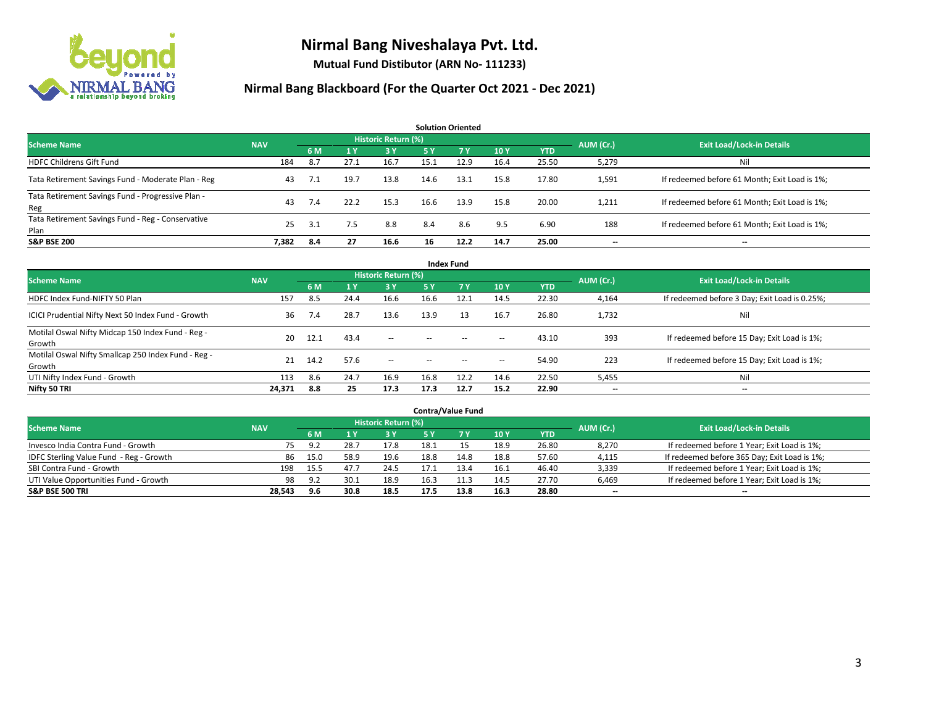

**Mutual Fund Distibutor (ARN No- 111233)**

| <b>Solution Oriented</b>                                  |            |     |                |                     |      |           |      |            |           |                                               |  |  |  |
|-----------------------------------------------------------|------------|-----|----------------|---------------------|------|-----------|------|------------|-----------|-----------------------------------------------|--|--|--|
| <b>Scheme Name</b>                                        | <b>NAV</b> |     |                | Historic Return (%) |      |           |      |            | AUM (Cr.) | <b>Exit Load/Lock-in Details</b>              |  |  |  |
|                                                           |            | 6 M | 1 <sup>1</sup> | 3 Y                 | 5 Y  | <b>7Y</b> | 10Y  | <b>YTD</b> |           |                                               |  |  |  |
| <b>HDFC Childrens Gift Fund</b>                           | 184        | 8.7 | 27.1           | 16.7                | 15.1 | 12.9      | 16.4 | 25.50      | 5,279     | Nil                                           |  |  |  |
| Tata Retirement Savings Fund - Moderate Plan - Reg        | 43         | 7.1 | 19.7           | 13.8                | 14.6 | 13.1      | 15.8 | 17.80      | 1,591     | If redeemed before 61 Month; Exit Load is 1%; |  |  |  |
| Tata Retirement Savings Fund - Progressive Plan -<br>Reg  | 43         | 7.4 | 22.2           | 15.3                | 16.6 | 13.9      | 15.8 | 20.00      | 1,211     | If redeemed before 61 Month; Exit Load is 1%; |  |  |  |
| Tata Retirement Savings Fund - Reg - Conservative<br>Plan | 25         | 3.1 | 7.5            | 8.8                 | 8.4  | 8.6       | 9.5  | 6.90       | 188       | If redeemed before 61 Month; Exit Load is 1%; |  |  |  |
| <b>S&amp;P BSE 200</b>                                    | 7.382      | 8.4 | 27             | 16.6                | 16   | 12.2      | 14.7 | 25.00      | --        | --                                            |  |  |  |

| <b>Index Fund</b>                                             |            |      |      |                     |        |           |                          |            |                          |                                               |  |  |  |  |
|---------------------------------------------------------------|------------|------|------|---------------------|--------|-----------|--------------------------|------------|--------------------------|-----------------------------------------------|--|--|--|--|
| <b>Scheme Name</b>                                            | <b>NAV</b> |      |      | Historic Return (%) |        |           |                          |            | AUM (Cr.)                | <b>Exit Load/Lock-in Details</b>              |  |  |  |  |
|                                                               |            | 6 M  | 1Y   | 73 Y.               | 5 Y    | <b>7Y</b> | <b>10Y</b>               | <b>YTD</b> |                          |                                               |  |  |  |  |
| HDFC Index Fund-NIFTY 50 Plan                                 | 157        | 8.5  | 24.4 | 16.6                | 16.6   | 12.1      | 14.5                     | 22.30      | 4,164                    | If redeemed before 3 Day; Exit Load is 0.25%; |  |  |  |  |
| ICICI Prudential Nifty Next 50 Index Fund - Growth            | 36         | 7.4  | 28.7 | 13.6                | 13.9   | 13        | 16.7                     | 26.80      | 1,732                    | Nil                                           |  |  |  |  |
| Motilal Oswal Nifty Midcap 150 Index Fund - Reg -<br>Growth   | 20         | 12.1 | 43.4 | $\sim$              | $\sim$ | $\sim$    | $\hspace{0.05cm} \ldots$ | 43.10      | 393                      | If redeemed before 15 Day; Exit Load is 1%;   |  |  |  |  |
| Motilal Oswal Nifty Smallcap 250 Index Fund - Reg -<br>Growth | 21         | 14.2 | 57.6 | $\sim$              | $\sim$ | $\sim$    | $\hspace{0.05cm} \ldots$ | 54.90      | 223                      | If redeemed before 15 Day; Exit Load is 1%;   |  |  |  |  |
| UTI Nifty Index Fund - Growth                                 | 113        | 8.6  | 24.7 | 16.9                | 16.8   | 12.2      | 14.6                     | 22.50      | 5,455                    | Nil                                           |  |  |  |  |
| Nifty 50 TRI                                                  | 24,371     | 8.8  | 25   | 17.3                | 17.3   | 12.7      | 15.2                     | 22.90      | $\overline{\phantom{a}}$ | $- -$                                         |  |  |  |  |

| <b>Contra/Value Fund</b>                |            |      |      |                     |      |      |      |       |                          |                                              |  |  |  |
|-----------------------------------------|------------|------|------|---------------------|------|------|------|-------|--------------------------|----------------------------------------------|--|--|--|
| <b>Scheme Name</b>                      | <b>NAV</b> |      |      | Historic Return (%) |      |      |      |       | AUM (Cr.)                | <b>Exit Load/Lock-in Details</b>             |  |  |  |
|                                         |            | 6 M  |      | 3 Y                 |      |      | 10Y  | YTD   |                          |                                              |  |  |  |
| Invesco India Contra Fund - Growth      | 75.        | 9.2  | 28.7 | 17.8                | 18.1 |      | 18.9 | 26.80 | 8,270                    | If redeemed before 1 Year; Exit Load is 1%;  |  |  |  |
| IDFC Sterling Value Fund - Reg - Growth | 86         | 15.0 | 58.9 | 19.6                | 18.8 | 14.8 | 18.8 | 57.60 | 4,115                    | If redeemed before 365 Day; Exit Load is 1%; |  |  |  |
| SBI Contra Fund - Growth                | 198        | 15.5 | 47.7 | 24.5                |      |      | 16.1 | 46.40 | 3,339                    | If redeemed before 1 Year; Exit Load is 1%;  |  |  |  |
| UTI Value Opportunities Fund - Growth   | 98         | 9.2  | 30.1 | 18.9                | 16.3 | 11.3 | 14.5 | 27.70 | 6,469                    | If redeemed before 1 Year; Exit Load is 1%;  |  |  |  |
| <b>S&amp;P BSE 500 TRI</b>              | 28,543     | 9.6  | 30.8 | 18.5                | 17.5 | 13.8 | 16.3 | 28.80 | $\overline{\phantom{a}}$ | $- -$                                        |  |  |  |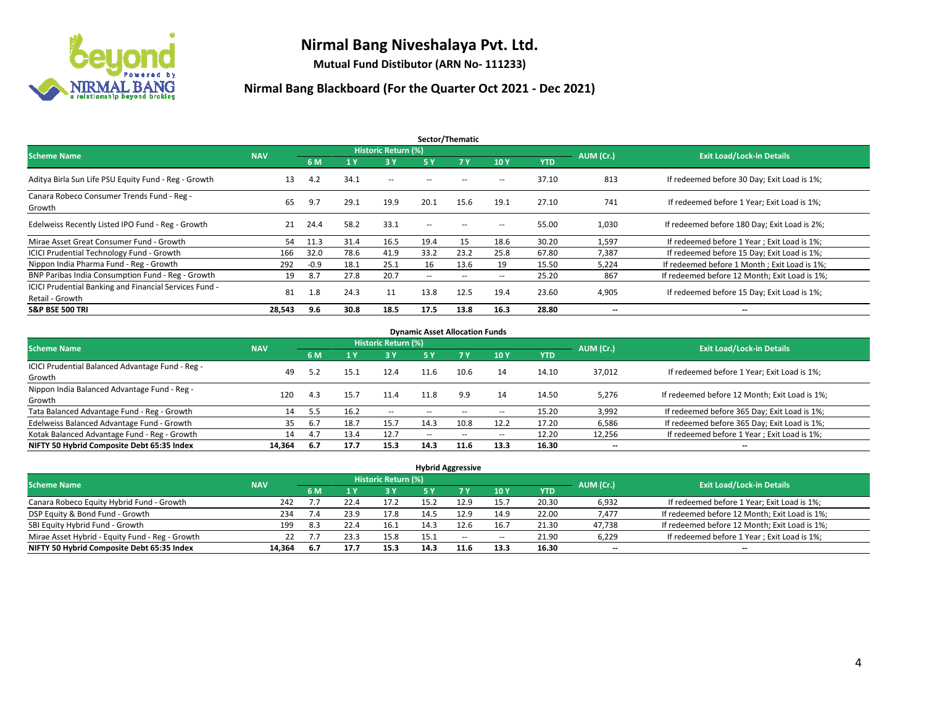

**Mutual Fund Distibutor (ARN No- 111233)**

| Sector/Thematic                                                           |            |        |      |                     |                          |                   |                          |            |                          |                                               |  |  |  |
|---------------------------------------------------------------------------|------------|--------|------|---------------------|--------------------------|-------------------|--------------------------|------------|--------------------------|-----------------------------------------------|--|--|--|
| <b>Scheme Name</b>                                                        | <b>NAV</b> |        |      | Historic Return (%) |                          |                   |                          |            | AUM (Cr.)                | <b>Exit Load/Lock-in Details</b>              |  |  |  |
|                                                                           |            | 6 M    | '1 Y | 3 Y                 | 5 Y                      | 7Y                | 10Y                      | <b>YTD</b> |                          |                                               |  |  |  |
| Aditya Birla Sun Life PSU Equity Fund - Reg - Growth                      | 13         | 4.2    | 34.1 | $\sim$ $-$          | $\sim$ $\sim$            | $\sim$            | $\overline{\phantom{a}}$ | 37.10      | 813                      | If redeemed before 30 Day; Exit Load is 1%;   |  |  |  |
| Canara Robeco Consumer Trends Fund - Reg -<br>Growth                      | 65         | 9.7    | 29.1 | 19.9                | 20.1                     | 15.6              | 19.1                     | 27.10      | 741                      | If redeemed before 1 Year; Exit Load is 1%;   |  |  |  |
| Edelweiss Recently Listed IPO Fund - Reg - Growth                         | 21         | 24.4   | 58.2 | 33.1                | $\overline{\phantom{a}}$ | $\hspace{0.05cm}$ | --                       | 55.00      | 1,030                    | If redeemed before 180 Day; Exit Load is 2%;  |  |  |  |
| Mirae Asset Great Consumer Fund - Growth                                  | 54         | 11.3   | 31.4 | 16.5                | 19.4                     | 15                | 18.6                     | 30.20      | 1,597                    | If redeemed before 1 Year; Exit Load is 1%;   |  |  |  |
| <b>ICICI Prudential Technology Fund - Growth</b>                          | 166        | 32.0   | 78.6 | 41.9                | 33.2                     | 23.2              | 25.8                     | 67.80      | 7,387                    | If redeemed before 15 Day; Exit Load is 1%;   |  |  |  |
| Nippon India Pharma Fund - Reg - Growth                                   | 292        | $-0.9$ | 18.1 | 25.1                | 16                       | 13.6              | 19                       | 15.50      | 5,224                    | If redeemed before 1 Month; Exit Load is 1%;  |  |  |  |
| BNP Paribas India Consumption Fund - Reg - Growth                         | 19         | 8.7    | 27.8 | 20.7                | $\overline{\phantom{a}}$ | $\sim$            | $\overline{\phantom{a}}$ | 25.20      | 867                      | If redeemed before 12 Month; Exit Load is 1%; |  |  |  |
| ICICI Prudential Banking and Financial Services Fund -<br>Retail - Growth | 81         | 1.8    | 24.3 | 11                  | 13.8                     | 12.5              | 19.4                     | 23.60      | 4,905                    | If redeemed before 15 Day; Exit Load is 1%;   |  |  |  |
| <b>S&amp;P BSE 500 TRI</b>                                                | 28,543     | 9.6    | 30.8 | 18.5                | 17.5                     | 13.8              | 16.3                     | 28.80      | $\overline{\phantom{a}}$ | $\overline{\phantom{a}}$                      |  |  |  |

| <b>Dynamic Asset Allocation Funds</b>            |            |      |      |                     |      |                          |                          |            |           |                                               |  |  |  |  |
|--------------------------------------------------|------------|------|------|---------------------|------|--------------------------|--------------------------|------------|-----------|-----------------------------------------------|--|--|--|--|
| <b>Scheme Name</b>                               | <b>NAV</b> |      |      | Historic Return (%) |      |                          |                          |            | AUM (Cr.) | <b>Exit Load/Lock-in Details</b>              |  |  |  |  |
|                                                  |            | 6 M  |      | 3 Y                 | 5 Y  | 7 Y                      | 10Y                      | <b>YTD</b> |           |                                               |  |  |  |  |
| ICICI Prudential Balanced Advantage Fund - Reg - |            | 5.2  |      | 12.4                | 11.6 | 10.6                     |                          |            |           |                                               |  |  |  |  |
| Growth                                           | 49         |      | 15.1 |                     |      |                          | 14                       | 14.10      | 37,012    | If redeemed before 1 Year; Exit Load is 1%;   |  |  |  |  |
| Nippon India Balanced Advantage Fund - Reg -     |            | 4.3  |      |                     | 11.8 |                          |                          |            |           | If redeemed before 12 Month; Exit Load is 1%; |  |  |  |  |
| Growth                                           | 120        |      | 15.7 | 11.4                |      | 9.9                      | 14                       | 14.50      | 5,276     |                                               |  |  |  |  |
| Tata Balanced Advantage Fund - Reg - Growth      | 14         | 5.5  | 16.2 | $\sim$              |      |                          | $\sim$ $\sim$            | 15.20      | 3,992     | If redeemed before 365 Day; Exit Load is 1%;  |  |  |  |  |
| Edelweiss Balanced Advantage Fund - Growth       | 35         | 6.7  | 18.7 | 15.7                | 14.3 | 10.8                     | 12.2                     | 17.20      | 6,586     | If redeemed before 365 Day; Exit Load is 1%;  |  |  |  |  |
| Kotak Balanced Advantage Fund - Reg - Growth     | 14         | 4.7  | 13.4 | 12.7                | --   | $\overline{\phantom{a}}$ | $\overline{\phantom{a}}$ | 12.20      | 12,256    | If redeemed before 1 Year; Exit Load is 1%;   |  |  |  |  |
| NIFTY 50 Hybrid Composite Debt 65:35 Index       | 14,364     | -6.7 | 17.7 | 15.3                | 14.3 | 11.6                     | 13.3                     | 16.30      | --        | $- -$                                         |  |  |  |  |

| <b>Hybrid Aggressive</b>                        |            |                                  |      |      |      |           |                          |            |        |                                               |  |  |  |  |
|-------------------------------------------------|------------|----------------------------------|------|------|------|-----------|--------------------------|------------|--------|-----------------------------------------------|--|--|--|--|
| <b>Scheme Name</b>                              | AUM (Cr.)  | <b>Exit Load/Lock-in Details</b> |      |      |      |           |                          |            |        |                                               |  |  |  |  |
|                                                 | <b>NAV</b> | 6 M                              |      | 3 Y  | 5 Y  | <b>7Y</b> | 10Y                      | <b>YTD</b> |        |                                               |  |  |  |  |
| Canara Robeco Equity Hybrid Fund - Growth       | 242        |                                  | 22.4 | 17.2 | 15.2 | 12.9      | 15.7                     | 20.30      | 6,932  | If redeemed before 1 Year; Exit Load is 1%;   |  |  |  |  |
| DSP Equity & Bond Fund - Growth                 | 234        | 7.4                              | 23.9 | 17.8 | 14.5 | 12.9      | 14.9                     | 22.00      | 7,477  | If redeemed before 12 Month; Exit Load is 1%; |  |  |  |  |
| SBI Equity Hybrid Fund - Growth                 | 199        | 8.3                              | 22.4 | 16.1 | 14.3 | 12.6      | 16.7                     | 21.30      | 47,738 | If redeemed before 12 Month; Exit Load is 1%; |  |  |  |  |
| Mirae Asset Hybrid - Equity Fund - Reg - Growth | 22         |                                  | 23.3 | 15.8 | 15.1 | $- -$     | $\overline{\phantom{a}}$ | 21.90      | 6,229  | If redeemed before 1 Year; Exit Load is 1%;   |  |  |  |  |
| NIFTY 50 Hybrid Composite Debt 65:35 Index      | 14.364     | 6.7                              | 17.7 | 15.3 | 14.3 | 11.6      | 13.3                     | 16.30      | $- -$  | $\overline{\phantom{a}}$                      |  |  |  |  |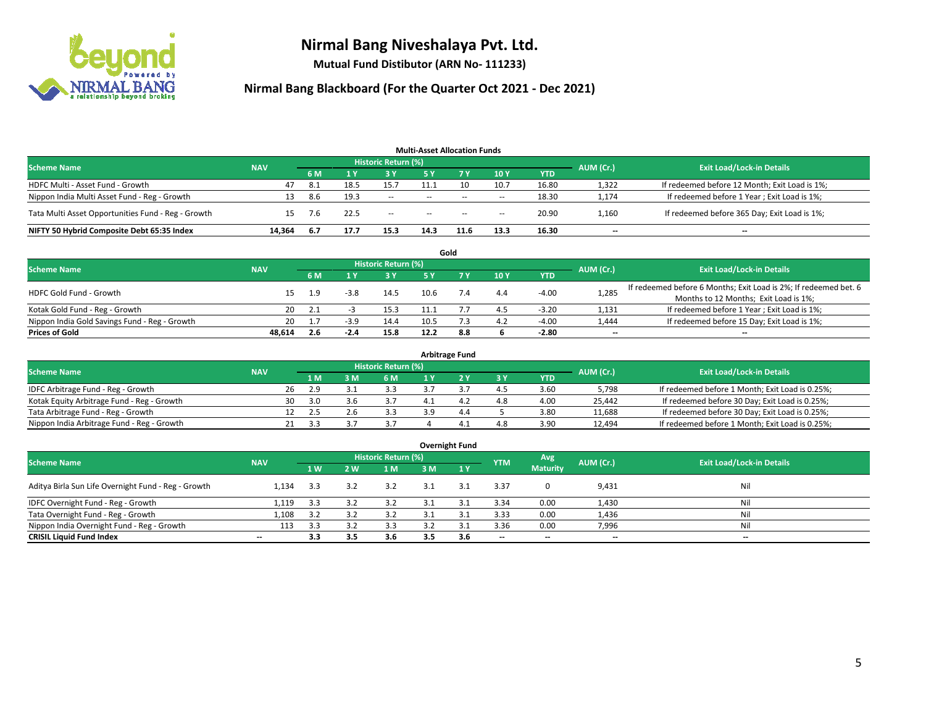

**Mutual Fund Distibutor (ARN No- 111233)**

| <b>Multi-Asset Allocation Funds</b>                |            |     |      |                            |      |           |        |       |           |                                               |  |  |  |
|----------------------------------------------------|------------|-----|------|----------------------------|------|-----------|--------|-------|-----------|-----------------------------------------------|--|--|--|
| <b>Scheme Name</b>                                 | <b>NAV</b> |     |      | <b>Historic Return (%)</b> |      |           |        |       | AUM (Cr.) | <b>Exit Load/Lock-in Details</b>              |  |  |  |
|                                                    |            | 6 M |      | 73 Y.                      | 5 Y  | <b>7Y</b> | 10Y    | YTD   |           |                                               |  |  |  |
| HDFC Multi - Asset Fund - Growth                   | 47         | 8.1 | 18.5 | 15.7                       | 11.1 |           | 10.7   | 16.80 | 1,322     | If redeemed before 12 Month; Exit Load is 1%; |  |  |  |
| Nippon India Multi Asset Fund - Reg - Growth       |            | 8.6 | 19.3 | $\sim$                     | $-$  | $- -$     | $\sim$ | 18.30 | 1,174     | If redeemed before 1 Year; Exit Load is 1%;   |  |  |  |
| Tata Multi Asset Opportunities Fund - Reg - Growth | 15         | 7.6 | 22.5 | $\sim$                     | $-$  | $- -$     | $\sim$ | 20.90 | 1,160     | If redeemed before 365 Day; Exit Load is 1%;  |  |  |  |
| NIFTY 50 Hybrid Composite Debt 65:35 Index         | 14.364     | 6.7 | 17.7 | 15.3                       | 14.3 | 11.6      | 13.3   | 16.30 | $- -$     | $\overline{\phantom{a}}$                      |  |  |  |

|                                               |            |                                  |        |           |      | Gold |     |            |                          |                                                                  |
|-----------------------------------------------|------------|----------------------------------|--------|-----------|------|------|-----|------------|--------------------------|------------------------------------------------------------------|
| <b>Scheme Name</b>                            | AUM (Cr.)  | <b>Exit Load/Lock-in Details</b> |        |           |      |      |     |            |                          |                                                                  |
|                                               | <b>NAV</b> | 6 M                              |        | <b>3Y</b> | 5 V  |      | 10Y | <b>YTD</b> |                          |                                                                  |
| HDFC Gold Fund - Growth                       |            | 1.9                              | $-3.8$ | 14.5      | 10.6 | 7.4  | 4.4 | $-4.00$    | 1,285                    | If redeemed before 6 Months; Exit Load is 2%; If redeemed bet. 6 |
|                                               |            |                                  |        |           |      |      |     |            |                          | Months to 12 Months; Exit Load is 1%;                            |
| Kotak Gold Fund - Reg - Growth                | 20         |                                  |        | 15.3      |      |      | 4.5 | $-3.20$    | 1,131                    | If redeemed before 1 Year; Exit Load is 1%;                      |
| Nippon India Gold Savings Fund - Reg - Growth | 20         |                                  | -3.5   | 14.4      | 10.5 |      | 4.2 | $-4.00$    | 1,444                    | If redeemed before 15 Day; Exit Load is 1%;                      |
| <b>Prices of Gold</b>                         | 48.614     | 2.6                              | $-2.4$ | 15.8      | 12.2 | 8.8  |     | $-2.80$    | $\overline{\phantom{a}}$ | --                                                               |

| <b>Arbitrage Fund</b>                      |            |                                  |     |   |     |  |     |     |            |           |                                                 |  |  |  |
|--------------------------------------------|------------|----------------------------------|-----|---|-----|--|-----|-----|------------|-----------|-------------------------------------------------|--|--|--|
| <b>Scheme Name</b>                         |            | <b>Exit Load/Lock-in Details</b> |     |   |     |  |     |     |            |           |                                                 |  |  |  |
|                                            | <b>NAV</b> |                                  | 1 M | M | 6 M |  |     | 3 Y | <b>YTD</b> | AUM (Cr.) |                                                 |  |  |  |
| IDFC Arbitrage Fund - Reg - Growth         |            | 26                               | 2.9 |   | 3.3 |  |     | 4.5 | 3.60       | 5.798     | If redeemed before 1 Month; Exit Load is 0.25%; |  |  |  |
| Kotak Equity Arbitrage Fund - Reg - Growth |            | 30                               | 3.0 |   |     |  |     | 4.8 | 4.00       | 25.442    | If redeemed before 30 Day; Exit Load is 0.25%;  |  |  |  |
| Tata Arbitrage Fund - Reg - Growth         |            |                                  |     |   | 3.3 |  | 4.4 |     | 3.80       | 11,688    | If redeemed before 30 Day; Exit Load is 0.25%;  |  |  |  |
| Nippon India Arbitrage Fund - Reg - Growth |            | 21                               | 3.3 |   |     |  |     | 4.8 | 3.90       | 12,494    | If redeemed before 1 Month; Exit Load is 0.25%; |  |  |  |

| <b>Overnight Fund</b>                               |                          |     |     |                            |     |       |                          |                          |                          |                                  |  |  |  |  |
|-----------------------------------------------------|--------------------------|-----|-----|----------------------------|-----|-------|--------------------------|--------------------------|--------------------------|----------------------------------|--|--|--|--|
| <b>Scheme Name</b>                                  | <b>NAV</b>               |     |     | <b>Historic Return (%)</b> |     |       | <b>YTM</b>               | Avg                      | AUM (Cr.)                | <b>Exit Load/Lock-in Details</b> |  |  |  |  |
|                                                     |                          | 4W  | 2W  | 1 M                        | 3 M | 7 1 Y |                          | <b>Maturity</b>          |                          |                                  |  |  |  |  |
| Aditya Birla Sun Life Overnight Fund - Reg - Growth | 1.134                    | 3.3 | 3.2 | 3.2                        | 3.1 | 3.1   | 3.37                     |                          | 9,431                    | Nil                              |  |  |  |  |
| IDFC Overnight Fund - Reg - Growth                  | 1,119                    | 3.3 | 3.2 | 3.2                        |     | 3.1   | 3.34                     | 0.00                     | 1,430                    | Nil                              |  |  |  |  |
| Tata Overnight Fund - Reg - Growth                  | 1,108                    | 3.2 | 3.2 | 3.2                        |     | 3.1   | 3.33                     | 0.00                     | 1,436                    | Nil                              |  |  |  |  |
| Nippon India Overnight Fund - Reg - Growth          | 113                      | 3.3 |     | 3.3                        | っっ  | 3.1   | 3.36                     | 0.00                     | 7,996                    | Nil                              |  |  |  |  |
| <b>CRISIL Liquid Fund Index</b>                     | $\overline{\phantom{a}}$ | 3.3 | 3.5 | 3.6                        | 3.5 | 3.6   | $\overline{\phantom{a}}$ | $\overline{\phantom{a}}$ | $\overline{\phantom{a}}$ | $-$                              |  |  |  |  |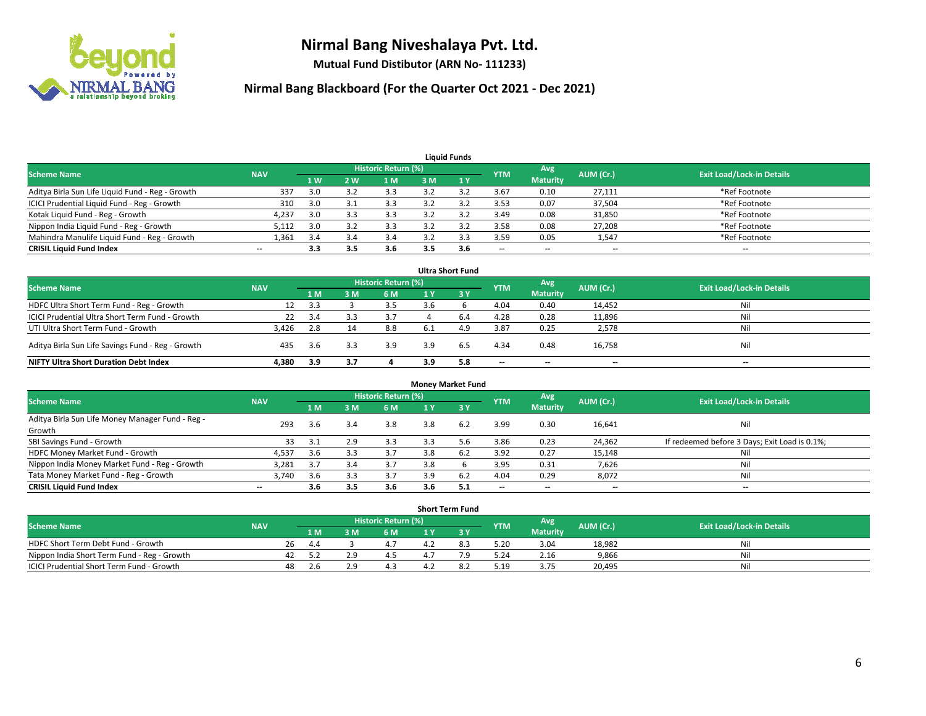

**Mutual Fund Distibutor (ARN No- 111233)**

| <b>Liquid Funds</b>                              |                          |                |     |                            |      |              |            |                 |                          |                                  |  |  |  |
|--------------------------------------------------|--------------------------|----------------|-----|----------------------------|------|--------------|------------|-----------------|--------------------------|----------------------------------|--|--|--|
| <b>Scheme Name</b>                               | <b>NAV</b>               |                |     | <b>Historic Return (%)</b> |      |              | <b>YTM</b> | Avg             | AUM (Cr.)                | <b>Exit Load/Lock-in Details</b> |  |  |  |
|                                                  |                          | 1 <sub>W</sub> | 2 W | l M                        | 3 M  | $\sqrt{1}$ Y |            | <b>Maturity</b> |                          |                                  |  |  |  |
| Aditya Birla Sun Life Liquid Fund - Reg - Growth | 337                      | 3.0            |     |                            |      |              | 3.67       | 0.10            | 27,111                   | *Ref Footnote                    |  |  |  |
| ICICI Prudential Liquid Fund - Reg - Growth      | 310                      | 3.0            |     | 3.3                        | 3.2  |              | 3.53       | 0.07            | 37,504                   | *Ref Footnote                    |  |  |  |
| Kotak Liquid Fund - Reg - Growth                 | 4,237                    | 3.0            | 3.3 | 3.3                        | 3.2  | $\mathbf{a}$ | 3.49       | 0.08            | 31,850                   | *Ref Footnote                    |  |  |  |
| Nippon India Liquid Fund - Reg - Growth          | 5,112                    | 3.0            |     |                            | າ ∵ີ |              | 3.58       | 0.08            | 27,208                   | *Ref Footnote                    |  |  |  |
| Mahindra Manulife Liquid Fund - Reg - Growth     | 1,361                    | 3.4            | 3.4 | 3.4                        |      | 3.3          | 3.59       | 0.05            | 1,547                    | *Ref Footnote                    |  |  |  |
| <b>CRISIL Liquid Fund Index</b>                  | $\overline{\phantom{a}}$ | 3.3            | 3.5 | 3.6                        | 3.5  | 3.6          | $-$        | $- -$           | $\overline{\phantom{a}}$ | $- -$                            |  |  |  |

| <b>Ultra Short Fund</b>                           |            |     |     |                            |     |           |                          |                          |           |                                  |  |  |  |
|---------------------------------------------------|------------|-----|-----|----------------------------|-----|-----------|--------------------------|--------------------------|-----------|----------------------------------|--|--|--|
| <b>Scheme Name</b>                                | <b>NAV</b> |     |     | <b>Historic Return (%)</b> |     |           | <b>YTM</b>               | Avg                      | AUM (Cr.) | <b>Exit Load/Lock-in Details</b> |  |  |  |
|                                                   |            | 1 M | 3 M | 6 M                        |     | <b>3Y</b> |                          | <b>Maturity</b>          |           |                                  |  |  |  |
| HDFC Ultra Short Term Fund - Reg - Growth         | 12         | 3.3 |     | 3.5                        | 3.6 |           | 4.04                     | 0.40                     | 14,452    | Nil                              |  |  |  |
| ICICI Prudential Ultra Short Term Fund - Growth   | 22         | 3.4 |     | 3.7                        |     | 6.4       | 4.28                     | 0.28                     | 11,896    | Nil                              |  |  |  |
| UTI Ultra Short Term Fund - Growth                | 3,426      | 2.8 |     | 8.8                        | 6.1 | 4.9       | 3.87                     | 0.25                     | 2,578     | Nil                              |  |  |  |
| Aditya Birla Sun Life Savings Fund - Reg - Growth | 435        | 3.6 | 3.3 | 3.9                        | 3.9 | 6.5       | 4.34                     | 0.48                     | 16,758    | Nil                              |  |  |  |
| <b>NIFTY Ultra Short Duration Debt Index</b>      | 4,380      | 3.9 | 3.7 |                            | 3.9 | 5.8       | $\overline{\phantom{a}}$ | $\overline{\phantom{a}}$ | $- -$     | $- -$                            |  |  |  |

| <b>Money Market Fund</b>                         |            |     |     |                     |     |      |                          |                          |           |                                               |  |  |  |  |
|--------------------------------------------------|------------|-----|-----|---------------------|-----|------|--------------------------|--------------------------|-----------|-----------------------------------------------|--|--|--|--|
| <b>Scheme Name</b>                               | <b>NAV</b> |     |     | Historic Return (%) |     |      | <b>YTM</b>               | Avg                      | AUM (Cr.) | <b>Exit Load/Lock-in Details</b>              |  |  |  |  |
|                                                  |            | 1 M | 3 M | 6 M                 |     | -3 Y |                          | <b>Maturity</b>          |           |                                               |  |  |  |  |
| Aditya Birla Sun Life Money Manager Fund - Reg - | 293        | 3.6 | 3.4 | 3.8                 | 3.8 | 6.2  | 3.99                     | 0.30                     | 16,641    | Nil                                           |  |  |  |  |
| Growth                                           |            |     |     |                     |     |      |                          |                          |           |                                               |  |  |  |  |
| SBI Savings Fund - Growth                        | 33         |     | 2.9 | 3.3                 |     | 5.6  | 3.86                     | 0.23                     | 24,362    | If redeemed before 3 Days; Exit Load is 0.1%; |  |  |  |  |
| HDFC Money Market Fund - Growth                  | 4,537      | 3.6 |     | 3.7                 | 3.8 | 6.2  | 3.92                     | 0.27                     | 15,148    | Nil                                           |  |  |  |  |
| Nippon India Money Market Fund - Reg - Growth    | 3,281      | 3.7 |     | 3.7                 | 3.8 |      | 3.95                     | 0.31                     | 7,626     | Nil                                           |  |  |  |  |
| Tata Money Market Fund - Reg - Growth            | 3,740      | 3.6 | 3.3 | 3.7                 | 3.9 | 6.2  | 4.04                     | 0.29                     | 8,072     | Nil                                           |  |  |  |  |
| <b>CRISIL Liquid Fund Index</b>                  | $- -$      | 3.6 | 3.5 | 3.6                 | 3.6 | 5.1  | $\overline{\phantom{a}}$ | $\overline{\phantom{a}}$ | $- -$     | --                                            |  |  |  |  |

|                                                  |            |    |                                                       |  |                                  | <b>Short Term Fund</b> |      |                 |        |     |
|--------------------------------------------------|------------|----|-------------------------------------------------------|--|----------------------------------|------------------------|------|-----------------|--------|-----|
| Scheme Name                                      | <b>NAV</b> |    | Historic Return (%)<br>Avg<br>AUM (Cr.)<br><b>YTM</b> |  | <b>Exit Load/Lock-in Details</b> |                        |      |                 |        |     |
|                                                  |            |    | 1 M I                                                 |  | 6 M                              |                        |      | <b>Maturity</b> |        |     |
| HDFC Short Term Debt Fund - Growth               |            | 26 | 4.4                                                   |  |                                  |                        | 5.20 | 3.04            | 18,982 | Nil |
| Nippon India Short Term Fund - Reg - Growth      |            | 42 |                                                       |  |                                  |                        | 5.24 | 2.16            | 9,866  | Nil |
| <b>ICICI Prudential Short Term Fund - Growth</b> |            | 48 | .L.b                                                  |  | 4.3                              |                        | 5.19 | 3.75            | 20,495 | Nil |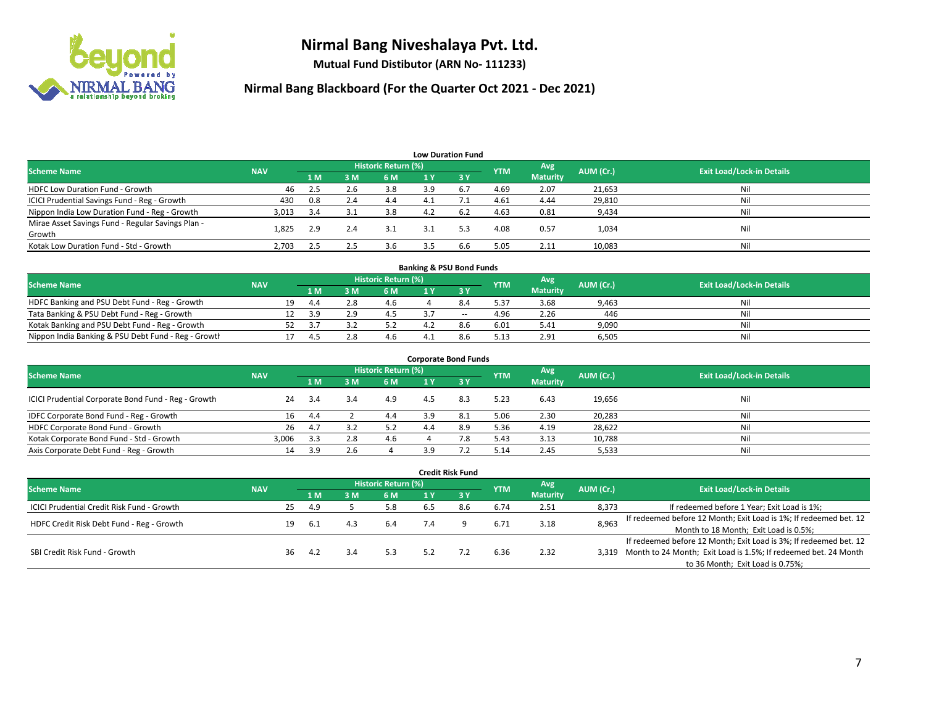

**Mutual Fund Distibutor (ARN No- 111233)**

|                                                   |            |     |     |                     | <b>Low Duration Fund</b> |     |            |                 |           |                                  |
|---------------------------------------------------|------------|-----|-----|---------------------|--------------------------|-----|------------|-----------------|-----------|----------------------------------|
| <b>Scheme Name</b>                                | <b>NAV</b> |     |     | Historic Return (%) |                          |     | <b>YTM</b> | Avg             | AUM (Cr.) | <b>Exit Load/Lock-in Details</b> |
|                                                   |            | 1 M | 3M  | 6 M                 | 1 Y                      | '3V |            | <b>Maturity</b> |           |                                  |
| <b>HDFC Low Duration Fund - Growth</b>            | 46         | 2.5 | 2.6 | 3.8                 | 3.9                      | 6.7 | 4.69       | 2.07            | 21,653    | Nil                              |
| ICICI Prudential Savings Fund - Reg - Growth      | 430        | 0.8 | 2.4 | 4.4                 | 4.1                      |     | 4.61       | 4.44            | 29,810    | Nil                              |
| Nippon India Low Duration Fund - Reg - Growth     | 3,013      | 3.4 | 3.1 | 3.8                 | 4.2                      | 6.2 | 4.63       | 0.81            | 9,434     | Nil                              |
| Mirae Asset Savings Fund - Regular Savings Plan - | 1.825      | 2.9 | 2.4 | 3.1                 |                          | 5.3 | 4.08       | 0.57            | 1,034     | Nil                              |
| Growth                                            |            |     |     |                     |                          |     |            |                 |           |                                  |
| Kotak Low Duration Fund - Std - Growth            | 2,703      | 2.5 | 2.5 | 3.6                 |                          | 6.6 | 5.05       | 2.11            | 10,083    | Nil                              |

| <b>Banking &amp; PSU Bond Funds</b>                 |            |    |     |     |                     |  |                          |            |                 |           |                                  |  |  |  |
|-----------------------------------------------------|------------|----|-----|-----|---------------------|--|--------------------------|------------|-----------------|-----------|----------------------------------|--|--|--|
| <b>Scheme Name</b>                                  | <b>NAV</b> |    |     |     | Historic Return (%) |  |                          | <b>YTM</b> | Avg             | AUM (Cr.) | <b>Exit Load/Lock-in Details</b> |  |  |  |
|                                                     |            |    | 1 M |     | 6 M                 |  |                          |            | <b>Maturity</b> |           |                                  |  |  |  |
| HDFC Banking and PSU Debt Fund - Reg - Growth       |            | 19 | 4.4 |     | 4.6                 |  |                          | 5.37       | 3.68            | 9,463     | Nil                              |  |  |  |
| Tata Banking & PSU Debt Fund - Reg - Growth         |            |    | 39  | - 0 |                     |  | $\overline{\phantom{a}}$ | 4.96       | 2.26            | 446       | Nil                              |  |  |  |
| Kotak Banking and PSU Debt Fund - Reg - Growth      |            |    |     |     |                     |  |                          | 6.01       | 5.41            | 9,090     | Nil                              |  |  |  |
| Nippon India Banking & PSU Debt Fund - Reg - Growth |            |    |     |     | 4.6                 |  |                          | 5.13       | 2.91            | 6.505     | Nil                              |  |  |  |

| <b>Corporate Bond Funds</b>                         |            |     |     |                            |     |      |            |                        |           |                                  |  |
|-----------------------------------------------------|------------|-----|-----|----------------------------|-----|------|------------|------------------------|-----------|----------------------------------|--|
| <b>Scheme Name</b>                                  | <b>NAV</b> |     |     | <b>Historic Return (%)</b> |     |      | <b>YTM</b> | Avg<br><b>Maturity</b> | AUM (Cr.) | <b>Exit Load/Lock-in Details</b> |  |
|                                                     |            | 1 M | 3 M | 6 M                        |     | -3 Y |            |                        |           |                                  |  |
| ICICI Prudential Corporate Bond Fund - Reg - Growth | 24         | 3.4 |     | 4.9                        | 4.5 | 8.3  | 5.23       | 6.43                   | 19,656    | Nil                              |  |
| IDFC Corporate Bond Fund - Reg - Growth             | 16         | 4.4 |     | 4.4                        | 3.9 | 8.1  | 5.06       | 2.30                   | 20,283    | Nil                              |  |
| HDFC Corporate Bond Fund - Growth                   | 26         | 4.7 |     | 5.2                        |     | 8.9  | 5.36       | 4.19                   | 28,622    | Nil                              |  |
| Kotak Corporate Bond Fund - Std - Growth            | 3.006      | 3.3 | 2.8 | 4.6                        |     | 7.8  | 5.43       | 3.13                   | 10,788    | Nil                              |  |
| Axis Corporate Debt Fund - Reg - Growth             | 14         | 3.9 |     |                            | 3.9 |      | 5.14       | 2.45                   | 5,533     | Nil                              |  |

| <b>Credit Risk Fund</b>                           |            |     |                            |     |     |     |      |            |                 |           |                                                                       |  |
|---------------------------------------------------|------------|-----|----------------------------|-----|-----|-----|------|------------|-----------------|-----------|-----------------------------------------------------------------------|--|
| <b>Scheme Name</b>                                | <b>NAV</b> |     | <b>Historic Return (%)</b> |     |     |     |      |            | Avg             | AUM (Cr.) | <b>Exit Load/Lock-in Details</b>                                      |  |
|                                                   |            |     | 1 M                        | 3 M | 6 M | 1 Y | 2.3V | <b>YTM</b> | <b>Maturity</b> |           |                                                                       |  |
| <b>ICICI Prudential Credit Risk Fund - Growth</b> |            | 25  | 4.9                        |     | 5.8 | 6.5 | 8.6  | 6.74       | 2.51            | 8,373     | If redeemed before 1 Year; Exit Load is 1%;                           |  |
| HDFC Credit Risk Debt Fund - Reg - Growth         |            | 19  | 6.1                        | 4.3 | 6.4 |     |      | 6.71       | 3.18            | 8,963     | If redeemed before 12 Month; Exit Load is 1%; If redeemed bet. 12     |  |
|                                                   |            |     |                            |     |     |     |      |            |                 |           | Month to 18 Month; Exit Load is 0.5%;                                 |  |
| SBI Credit Risk Fund - Growth                     |            |     |                            |     |     |     |      |            |                 |           | If redeemed before 12 Month; Exit Load is 3%; If redeemed bet. 12     |  |
|                                                   |            | 36. | 4.2                        | 3.4 | 5.3 | 5.2 |      | 6.36       | 2.32            |           | 3,319 Month to 24 Month; Exit Load is 1.5%; If redeemed bet. 24 Month |  |
|                                                   |            |     |                            |     |     |     |      |            |                 |           | to 36 Month; Exit Load is 0.75%;                                      |  |